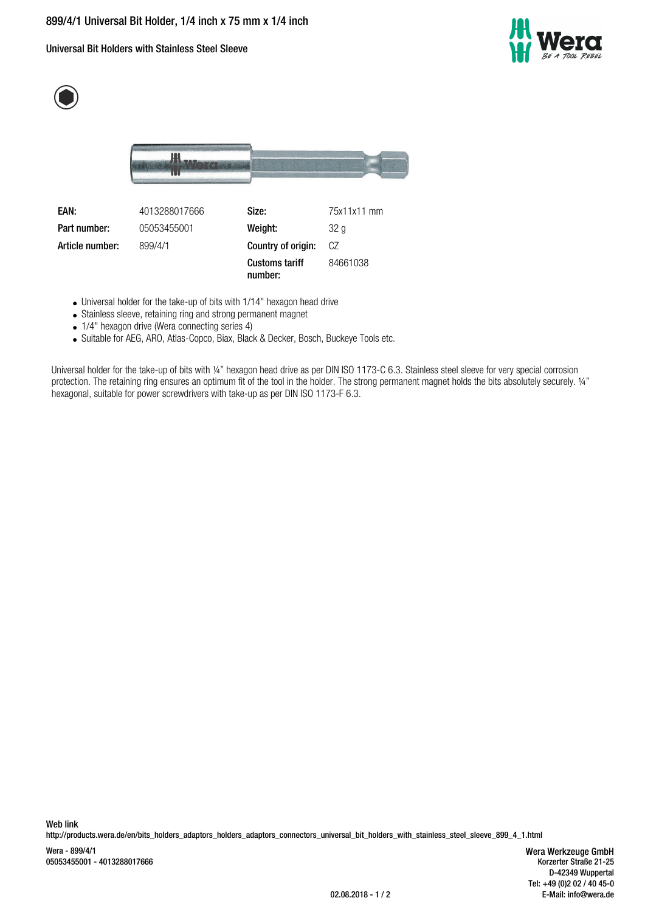Universal Bit Holders with Stainless Steel Sleeve







**EAN:** 4013288017666 **Size:** 75x11x11 mm **Part number:** 05053455001 **Weight:** 32 g **Article number:** 899/4/1 **Country of origin:** CZ **Customs tariff number:** 84661038

- Universal holder for the take-up of bits with 1/14" hexagon head drive
- Stainless sleeve, retaining ring and strong permanent magnet
- 1/4" hexagon drive (Wera connecting series 4)
- Suitable for AEG, ARO, Atlas-Copco, Biax, Black & Decker, Bosch, Buckeye Tools etc.

Universal holder for the take-up of bits with ¼" hexagon head drive as per DIN ISO 1173-C 6.3. Stainless steel sleeve for very special corrosion protection. The retaining ring ensures an optimum fit of the tool in the holder. The strong permanent magnet holds the bits absolutely securely. 1/4" hexagonal, suitable for power screwdrivers with take-up as per DIN ISO 1173-F 6.3.